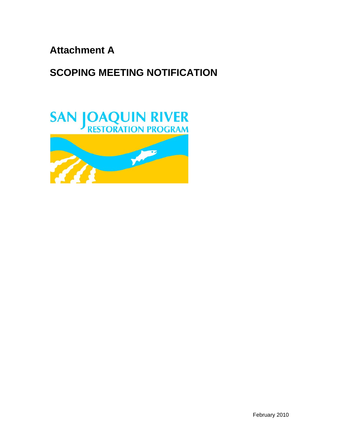# **Attachment A**

# **SCOPING MEETING NOTIFICATION**

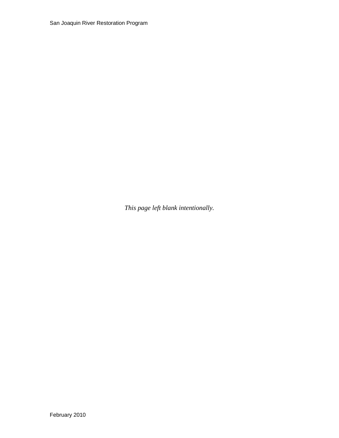*This page left blank intentionally.*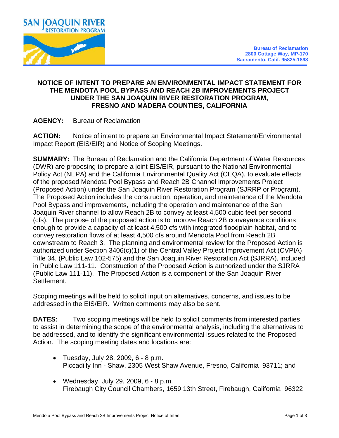

### **NOTICE OF INTENT TO PREPARE AN ENVIRONMENTAL IMPACT STATEMENT FOR THE MENDOTA POOL BYPASS AND REACH 2B IMPROVEMENTS PROJECT UNDER THE SAN JOAQUIN RIVER RESTORATION PROGRAM, FRESNO AND MADERA COUNTIES, CALIFORNIA**

**AGENCY:** Bureau of Reclamation

**ACTION:** Notice of intent to prepare an Environmental Impact Statement/Environmental Impact Report (EIS/EIR) and Notice of Scoping Meetings.

**SUMMARY:** The Bureau of Reclamation and the California Department of Water Resources (DWR) are proposing to prepare a joint EIS/EIR, pursuant to the National Environmental Policy Act (NEPA) and the California Environmental Quality Act (CEQA), to evaluate effects of the proposed Mendota Pool Bypass and Reach 2B Channel Improvements Project (Proposed Action) under the San Joaquin River Restoration Program (SJRRP or Program). The Proposed Action includes the construction, operation, and maintenance of the Mendota Pool Bypass and improvements, including the operation and maintenance of the San Joaquin River channel to allow Reach 2B to convey at least 4,500 cubic feet per second (cfs). The purpose of the proposed action is to improve Reach 2B conveyance conditions enough to provide a capacity of at least 4,500 cfs with integrated floodplain habitat, and to convey restoration flows of at least 4,500 cfs around Mendota Pool from Reach 2B downstream to Reach 3. The planning and environmental review for the Proposed Action is authorized under Section 3406(c)(1) of the Central Valley Project Improvement Act (CVPIA) Title 34, (Public Law 102-575) and the San Joaquin River Restoration Act (SJRRA), included in Public Law 111-11. Construction of the Proposed Action is authorized under the SJRRA (Public Law 111-11). The Proposed Action is a component of the San Joaquin River Settlement.

Scoping meetings will be held to solicit input on alternatives, concerns, and issues to be addressed in the EIS/EIR. Written comments may also be sent.

**DATES:** Two scoping meetings will be held to solicit comments from interested parties to assist in determining the scope of the environmental analysis, including the alternatives to be addressed, and to identify the significant environmental issues related to the Proposed Action. The scoping meeting dates and locations are:

- Tuesday, July 28, 2009, 6 8 p.m. Piccadilly Inn - Shaw, 2305 West Shaw Avenue, Fresno, California 93711; and
- Wednesday, July 29, 2009, 6 8 p.m. Firebaugh City Council Chambers, 1659 13th Street, Firebaugh, California 96322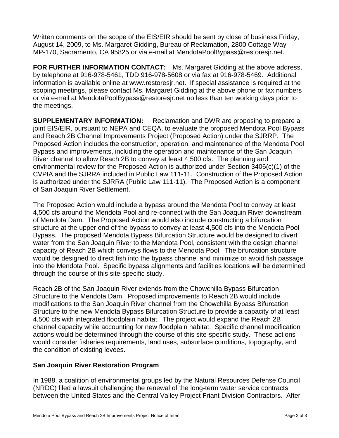Written comments on the scope of the EIS/EIR should be sent by close of business Friday, August 14, 2009, to Ms. Margaret Gidding, Bureau of Reclamation, 2800 Cottage Way MP-170, Sacramento, CA 95825 or via e-mail at MendotaPoolBypass@restoresjr.net.

**FOR FURTHER INFORMATION CONTACT:** Ms. Margaret Gidding at the above address, by telephone at 916-978-5461, TDD 916-978-5608 or via fax at 916-978-5469. Additional information is available online at www.restoresjr.net. If special assistance is required at the scoping meetings, please contact Ms. Margaret Gidding at the above phone or fax numbers or via e-mail at MendotaPoolBypass@restoresjr.net no less than ten working days prior to the meetings.

**SUPPLEMENTARY INFORMATION:** Reclamation and DWR are proposing to prepare a joint EIS/EIR, pursuant to NEPA and CEQA, to evaluate the proposed Mendota Pool Bypass and Reach 2B Channel Improvements Project (Proposed Action) under the SJRRP. The Proposed Action includes the construction, operation, and maintenance of the Mendota Pool Bypass and improvements, including the operation and maintenance of the San Joaquin River channel to allow Reach 2B to convey at least 4,500 cfs. The planning and environmental review for the Proposed Action is authorized under Section 3406(c)(1) of the CVPIA and the SJRRA included in Public Law 111-11. Construction of the Proposed Action is authorized under the SJRRA (Public Law 111-11). The Proposed Action is a component of San Joaquin River Settlement.

The Proposed Action would include a bypass around the Mendota Pool to convey at least 4,500 cfs around the Mendota Pool and re-connect with the San Joaquin River downstream of Mendota Dam. The Proposed Action would also include constructing a bifurcation structure at the upper end of the bypass to convey at least 4,500 cfs into the Mendota Pool Bypass. The proposed Mendota Bypass Bifurcation Structure would be designed to divert water from the San Joaquin River to the Mendota Pool, consistent with the design channel capacity of Reach 2B which conveys flows to the Mendota Pool. The bifurcation structure would be designed to direct fish into the bypass channel and minimize or avoid fish passage into the Mendota Pool. Specific bypass alignments and facilities locations will be determined through the course of this site-specific study.

Reach 2B of the San Joaquin River extends from the Chowchilla Bypass Bifurcation Structure to the Mendota Dam. Proposed improvements to Reach 2B would include modifications to the San Joaquin River channel from the Chowchilla Bypass Bifurcation Structure to the new Mendota Bypass Bifurcation Structure to provide a capacity of at least 4,500 cfs with integrated floodplain habitat. The project would expand the Reach 2B channel capacity while accounting for new floodplain habitat. Specific channel modification actions would be determined through the course of this site-specific study. These actions would consider fisheries requirements, land uses, subsurface conditions, topography, and the condition of existing levees.

### **San Joaquin River Restoration Program**

In 1988, a coalition of environmental groups led by the Natural Resources Defense Council (NRDC) filed a lawsuit challenging the renewal of the long-term water service contracts between the United States and the Central Valley Project Friant Division Contractors. After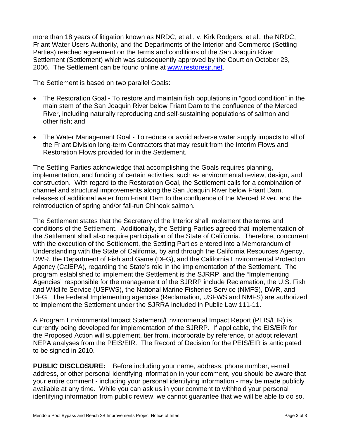more than 18 years of litigation known as NRDC, et al., v. Kirk Rodgers, et al., the NRDC, Friant Water Users Authority, and the Departments of the Interior and Commerce (Settling Parties) reached agreement on the terms and conditions of the San Joaquin River Settlement (Settlement) which was subsequently approved by the Court on October 23, 2006. The Settlement can be found online at [www.restoresjr.net](http://www.restoresjr.net/).

The Settlement is based on two parallel Goals:

- The Restoration Goal To restore and maintain fish populations in "good condition" in the main stem of the San Joaquin River below Friant Dam to the confluence of the Merced River, including naturally reproducing and self-sustaining populations of salmon and other fish; and
- The Water Management Goal To reduce or avoid adverse water supply impacts to all of the Friant Division long-term Contractors that may result from the Interim Flows and Restoration Flows provided for in the Settlement.

The Settling Parties acknowledge that accomplishing the Goals requires planning, implementation, and funding of certain activities, such as environmental review, design, and construction. With regard to the Restoration Goal, the Settlement calls for a combination of channel and structural improvements along the San Joaquin River below Friant Dam, releases of additional water from Friant Dam to the confluence of the Merced River, and the reintroduction of spring and/or fall-run Chinook salmon.

The Settlement states that the Secretary of the Interior shall implement the terms and conditions of the Settlement. Additionally, the Settling Parties agreed that implementation of the Settlement shall also require participation of the State of California. Therefore, concurrent with the execution of the Settlement, the Settling Parties entered into a Memorandum of Understanding with the State of California, by and through the California Resources Agency, DWR, the Department of Fish and Game (DFG), and the California Environmental Protection Agency (CalEPA), regarding the State's role in the implementation of the Settlement. The program established to implement the Settlement is the SJRRP, and the "Implementing Agencies" responsible for the management of the SJRRP include Reclamation, the U.S. Fish and Wildlife Service (USFWS), the National Marine Fisheries Service (NMFS), DWR, and DFG. The Federal Implementing agencies (Reclamation, USFWS and NMFS) are authorized to implement the Settlement under the SJRRA included in Public Law 111-11.

A Program Environmental Impact Statement/Environmental Impact Report (PEIS/EIR) is currently being developed for implementation of the SJRRP. If applicable, the EIS/EIR for the Proposed Action will supplement, tier from, incorporate by reference, or adopt relevant NEPA analyses from the PEIS/EIR. The Record of Decision for the PEIS/EIR is anticipated to be signed in 2010.

**PUBLIC DISCLOSURE:** Before including your name, address, phone number, e-mail address, or other personal identifying information in your comment, you should be aware that your entire comment - including your personal identifying information - may be made publicly available at any time. While you can ask us in your comment to withhold your personal identifying information from public review, we cannot guarantee that we will be able to do so.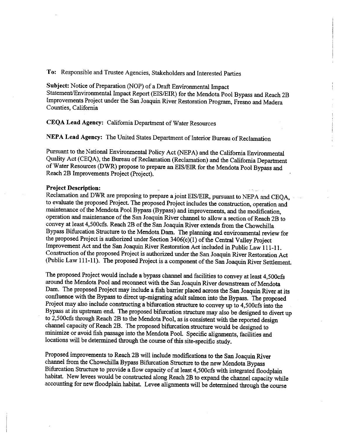To: Responsible and Trustee Agencies, Stakeholders and Interested Parties

Subject: Notice of Preparation (NOP) of a Draft Environmental Impact Statement/Environmental Impact Report (EIS/EIR) for the Mendota Pool Bypass and Reach 2B Improvements Project under the San Joaquin River Restoration Program, Fresno and Madera Counties, California

CEQA Lead Agency: California Department of Water Resources

NEPA Lead Agency: The United States Department of Interior Bureau of Reclamation

Pursuant to the National Environmental Policy Act (NEPA) and the California Environmental Quality Act (CEQA), the Bureau of Reclamation (Reclamation) and the California Department of Water Resources (DWR) propose to prepare an EIS/EIR for the Mendota Pool Bypass and Reach 2B Improvements Project (Project).

#### **Project Description:**

Reclamation and DWR are proposing to prepare a joint EIS/EIR, pursuant to NEPA and CEQA, to evaluate the proposed Project. The proposed Project includes the construction, operation and maintenance of the Mendota Pool Bypass (Bypass) and improvements, and the modification, operation and maintenance of the San Joaquin River channel to allow a section of Reach 2B to convey at least 4,500cfs. Reach 2B of the San Joaquin River extends from the Chowchilla Bypass Bifurcation Structure to the Mendota Dam. The planning and environmental review for the proposed Project is authorized under Section  $3406(c)(1)$  of the Central Valley Project Improvement Act and the San Joaquin River Restoration Act included in Public Law 111-11. Construction of the proposed Project is authorized under the San Joaquin River Restoration Act (Public Law 111-11). The proposed Project is a component of the San Joaquin River Settlement.

The proposed Project would include a bypass channel and facilities to convey at least 4,500cfs around the Mendota Pool and reconnect with the San Joaquin River downstream of Mendota Dam. The proposed Project may include a fish barrier placed across the San Joaquin River at its confluence with the Bypass to direct up-migrating adult salmon into the Bypass. The proposed Project may also include constructing a bifurcation structure to convey up to 4,500cfs into the Bypass at its upstream end. The proposed bifurcation structure may also be designed to divert up to 2,500cfs through Reach 2B to the Mendota Pool, as is consistent with the reported design channel capacity of Reach 2B. The proposed bifurcation structure would be designed to minimize or avoid fish passage into the Mendota Pool. Specific alignments, facilities and locations will be determined through the course of this site-specific study.

Proposed improvements to Reach 2B will include modifications to the San Joaquin River channel from the Chowchilla Bypass Bifurcation Structure to the new Mendota Bypass Bifurcation Structure to provide a flow capacity of at least 4,500cfs with integrated floodplain habitat. New levees would be constructed along Reach 2B to expand the channel capacity while accounting for new floodplain habitat. Levee alignments will be determined through the course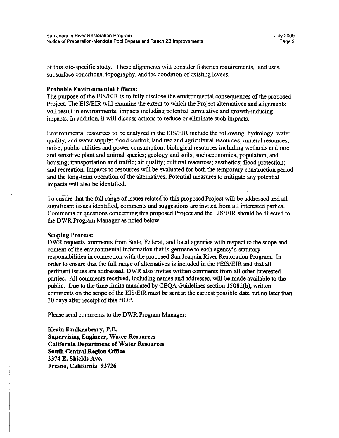of this site-specific study. These alignments will consider fisheries requirements, land uses, subsurface conditions, topography, and the condition of existing levees.

#### **Probable Environmental Effects:**

The purpose of the EIS/EIR is to fully disclose the environmental consequences of the proposed Project. The EIS/EIR will examine the extent to which the Project alternatives and alignments will result in environmental impacts including potential cumulative and growth-inducing impacts. In addition, it will discuss actions to reduce or eliminate such impacts.

Environmental resources to be analyzed in the EIS/EIR include the following: hydrology, water quality, and water supply; flood control; land use and agricultural resources; mineral resources; noise; public utilities and power consumption; biological resources including wetlands and rare and sensitive plant and animal species; geology and soils; socioeconomics, population, and housing: transportation and traffic; air quality; cultural resources; aesthetics; flood protection; and recreation. Impacts to resources will be evaluated for both the temporary construction period and the long-term operation of the alternatives. Potential measures to mitigate any potential impacts will also be identified.

To ensure that the full range of issues related to this proposed Project will be addressed and all significant issues identified, comments and suggestions are invited from all interested parties. Comments or questions concerning this proposed Project and the EIS/EIR should be directed to the DWR Program Manager as noted below.

#### **Scoping Process:**

DWR requests comments from State, Federal, and local agencies with respect to the scope and content of the environmental information that is germane to each agency's statutory responsibilities in connection with the proposed San Joaquin River Restoration Program. In order to ensure that the full range of alternatives is included in the PEIS/EIR and that all pertinent issues are addressed, DWR also invites written comments from all other interested parties. All comments received, including names and addresses, will be made available to the public. Due to the time limits mandated by CEQA Guidelines section 15082(b), written comments on the scope of the EIS/EIR must be sent at the earliest possible date but no later than 30 days after receipt of this NOP.

Please send comments to the DWR Program Manager:

Kevin Faulkenberry, P.E. **Supervising Engineer, Water Resources California Department of Water Resources South Central Region Office** 3374 E. Shields Ave. Fresno, California 93726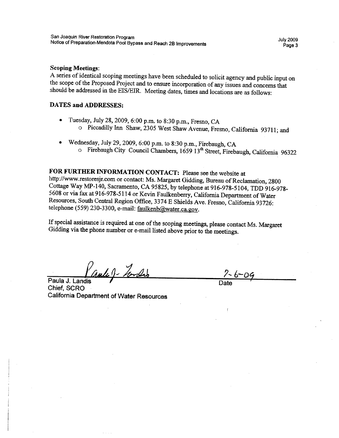**July 2009** Page 3

### **Scoping Meetings:**

A series of identical scoping meetings have been scheduled to solicit agency and public input on the scope of the Proposed Project and to ensure incorporation of any issues and concerns that should be addressed in the EIS/EIR. Meeting dates, times and locations are as follows:

### **DATES and ADDRESSES:**

- Tuesday, July 28, 2009, 6:00 p.m. to 8:30 p.m., Fresno, CA  $\bullet$ O Piccadilly Inn Shaw, 2305 West Shaw Avenue, Fresno, California 93711; and
- Wednesday, July 29, 2009, 6:00 p.m. to 8:30 p.m., Firebaugh, CA Firebaugh City Council Chambers, 1659 13th Street, Firebaugh, California 96322

FOR FURTHER INFORMATION CONTACT: Please see the website at http://www.restoresjr.com or contact: Ms. Margaret Gidding, Bureau of Reclamation, 2800 Cottage Way MP-140, Sacramento, CA 95825, by telephone at 916-978-5104, TDD 916-978-5608 or via fax at 916-978-5114 or Kevin Faulkenberry, California Department of Water Resources, South Central Region Office, 3374 E Shields Ave. Fresno, California 93726: telephone (559) 230-3300, e-mail: faulkenb@water.ca.gov.

If special assistance is required at one of the scoping meetings, please contact Ms. Margaret Gidding via the phone number or e-mail listed above prior to the meetings.

aule 1- Gorden

Paula J. Landis Chief, SCRO **California Department of Water Resources**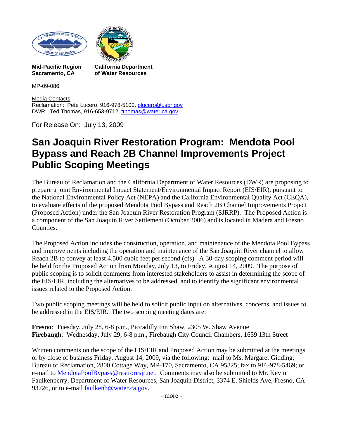



**Mid-Pacific Region Sacramento, CA** 

**California Department of Water Resources** 

MP-09-086

Media Contacts Reclamation: Pete Lucero, 916-978-5100, [plucero@usbr.gov](mailto:plucero@usbr.gov) DWR: Ted Thomas, 916-653-9712, thomas@water.ca.gov

For Release On: July 13, 2009

# **San Joaquin River Restoration Program: Mendota Pool Bypass and Reach 2B Channel Improvements Project Public Scoping Meetings**

The Bureau of Reclamation and the California Department of Water Resources (DWR) are proposing to prepare a joint Environmental Impact Statement/Environmental Impact Report (EIS/EIR), pursuant to the National Environmental Policy Act (NEPA) and the California Environmental Quality Act (CEQA), to evaluate effects of the proposed Mendota Pool Bypass and Reach 2B Channel Improvements Project (Proposed Action) under the San Joaquin River Restoration Program (SJRRP). The Proposed Action is a component of the San Joaquin River Settlement (October 2006) and is located in Madera and Fresno Counties.

The Proposed Action includes the construction, operation, and maintenance of the Mendota Pool Bypass and improvements including the operation and maintenance of the San Joaquin River channel to allow Reach 2B to convey at least 4,500 cubic feet per second (cfs). A 30-day scoping comment period will be held for the Proposed Action from Monday, July 13, to Friday, August 14, 2009. The purpose of public scoping is to solicit comments from interested stakeholders to assist in determining the scope of the EIS/EIR, including the alternatives to be addressed, and to identify the significant environmental issues related to the Proposed Action.

Two public scoping meetings will be held to solicit public input on alternatives, concerns, and issues to be addressed in the EIS/EIR. The two scoping meeting dates are:

**Fresno**: Tuesday, July 28, 6-8 p.m., Piccadilly Inn Shaw, 2305 W. Shaw Avenue **Firebaugh**: Wednesday, July 29, 6-8 p.m., Firebaugh City Council Chambers, 1659 13th Street

Written comments on the scope of the EIS/EIR and Proposed Action may be submitted at the meetings or by close of business Friday, August 14, 2009, via the following: mail to Ms. Margaret Gidding, Bureau of Reclamation, 2800 Cottage Way, MP-170, Sacramento, CA 95825; fax to 916-978-5469; or e-mail to [MendotaPoolBypass@restroresjr.net](mailto:MendotaPoolBypass@restroresjr.net). Comments may also be submitted to Mr. Kevin Faulkenberry, Department of Water Resources, San Joaquin District, 3374 E. Shields Ave, Fresno, CA 93726, or to e-mail [faulkenb@water.ca.gov.](mailto:faulkenb@water.ca.gov)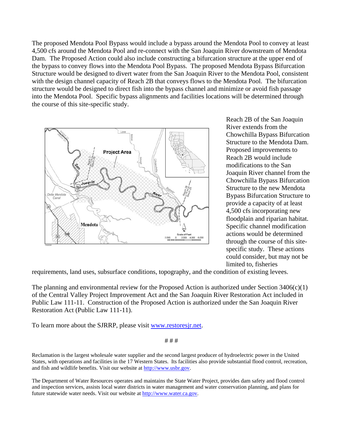The proposed Mendota Pool Bypass would include a bypass around the Mendota Pool to convey at least 4,500 cfs around the Mendota Pool and re-connect with the San Joaquin River downstream of Mendota Dam. The Proposed Action could also include constructing a bifurcation structure at the upper end of the bypass to convey flows into the Mendota Pool Bypass. The proposed Mendota Bypass Bifurcation Structure would be designed to divert water from the San Joaquin River to the Mendota Pool, consistent with the design channel capacity of Reach 2B that conveys flows to the Mendota Pool. The bifurcation structure would be designed to direct fish into the bypass channel and minimize or avoid fish passage into the Mendota Pool. Specific bypass alignments and facilities locations will be determined through the course of this site-specific study.



Reach 2B of the San Joaquin River extends from the Chowchilla Bypass Bifurcation Structure to the Mendota Dam. Proposed improvements to Reach 2B would include modifications to the San Joaquin River channel from the Chowchilla Bypass Bifurcation Structure to the new Mendota Bypass Bifurcation Structure to provide a capacity of at least 4,500 cfs incorporating new floodplain and riparian habitat. Specific channel modification actions would be determined through the course of this sitespecific study. These actions could consider, but may not be limited to, fisheries

requirements, land uses, subsurface conditions, topography, and the condition of existing levees.

The planning and environmental review for the Proposed Action is authorized under Section  $3406(c)(1)$ of the Central Valley Project Improvement Act and the San Joaquin River Restoration Act included in Public Law 111-11. Construction of the Proposed Action is authorized under the San Joaquin River Restoration Act (Public Law 111-11).

To learn more about the SJRRP, please visit [www.restoresjr.net.](http://www.restoresjr.net/)

# # #

Reclamation is the largest wholesale water supplier and the second largest producer of hydroelectric power in the United States, with operations and facilities in the 17 Western States. Its facilities also provide substantial flood control, recreation, and fish and wildlife benefits. Visit our website at [http://www.usbr.gov.](http://www.usbr.gov/)

The Department of Water Resources operates and maintains the State Water Project, provides dam safety and flood control and inspection services, assists local water districts in water management and water conservation planning, and plans for future statewide water needs. Visit our website at [http://www.water.ca.gov](http://www.water.ca.gov/).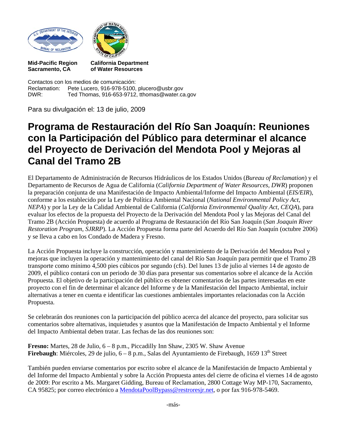



**Mid-Pacific Region Sacramento, CA** 

**California Department of Water Resources** 

Contactos con los medios de comunicación: Reclamation: Pete Lucero, 916-978-5100, [plucero@usbr.gov](mailto:plucero@usbr.gov) DWR: Ted Thomas, 916-653-9712, [tthomas@water.ca.gov](mailto:tthomas@water.ca.gov)

Para su divulgación el: 13 de julio, 2009

## **Programa de Restauración del Río San Joaquín: Reuniones con la Participación del Público para determinar el alcance del Proyecto de Derivación del Mendota Pool y Mejoras al Canal del Tramo 2B**

El Departamento de Administración de Recursos Hidráulicos de los Estados Unidos (*Bureau of Reclamation*) y el Departamento de Recursos de Agua de California (*California Department of Water Resources, DWR*) proponen la preparación conjunta de una Manifestación de Impacto Ambiental/Informe del Impacto Ambiental (*EIS/EIR*), conforme a los establecido por la Ley de Política Ambiental Nacional (*National Environmental Policy Act, NEPA*) y por la Ley de la Calidad Ambiental de California (*California Environmental Quality Act, CEQA*), para evaluar los efectos de la propuesta del Proyecto de la Derivación del Mendota Pool y las Mejoras del Canal del Tramo 2B (Acción Propuesta) de acuerdo al Programa de Restauración del Río San Joaquín (*San Joaquin River Restoration Program, SJRRP*). La Acción Propuesta forma parte del Acuerdo del Río San Joaquín (octubre 2006) y se lleva a cabo en los Condado de Madera y Fresno.

La Acción Propuesta incluye la construcción, operación y mantenimiento de la Derivación del Mendota Pool y mejoras que incluyen la operación y mantenimiento del canal del Río San Joaquín para permitir que el Tramo 2B transporte como mínimo 4,500 pies cúbicos por segundo (cfs). Del lunes 13 de julio al viernes 14 de agosto de 2009, el público contará con un periodo de 30 días para presentar sus comentarios sobre el alcance de la Acción Propuesta. El objetivo de la participación del público es obtener comentarios de las partes interesadas en este proyecto con el fin de determinar el alcance del Informe y de la Manifestación del Impacto Ambiental, incluir alternativas a tener en cuenta e identificar las cuestiones ambientales importantes relacionadas con la Acción Propuesta.

Se celebrarán dos reuniones con la participación del público acerca del alcance del proyecto, para solicitar sus comentarios sobre alternativas, inquietudes y asuntos que la Manifestación de Impacto Ambiental y el Informe del Impacto Ambiental deben tratar. Las fechas de las dos reuniones son:

**Fresno:** Martes, 28 de Julio, 6 – 8 p.m., Piccadilly Inn Shaw, 2305 W. Shaw Avenue **Firebaugh**: Miércoles, 29 de julio, 6 – 8 p.m., Salas del Ayuntamiento de Firebaugh, 1659 13<sup>th</sup> Street

También pueden enviarse comentarios por escrito sobre el alcance de la Manifestación de Impacto Ambiental y del Informe del Impacto Ambiental y sobre la Acción Propuesta antes del cierre de oficina el viernes 14 de agosto de 2009: Por escrito a Ms. Margaret Gidding, Bureau of Reclamation, 2800 Cottage Way MP-170, Sacramento, CA 95825; por correo electrónico a [MendotaPoolBypass@restroresjr.net,](mailto:MendotaPoolBypass@restroresjr.net) o por fax 916-978-5469.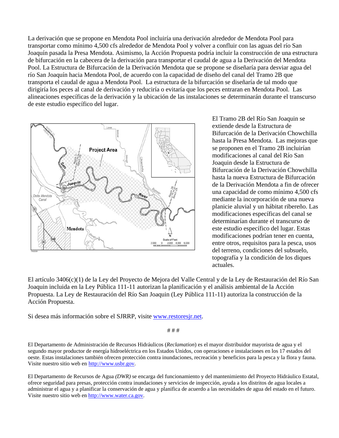La derivación que se propone en Mendota Pool incluiría una derivación alrededor de Mendota Pool para transportar como mínimo 4,500 cfs alrededor de Mendota Pool y volver a confluir con las aguas del río San Joaquín pasada la Presa Mendota. Asimismo, la Acción Propuesta podría incluir la construcción de una estructura de bifurcación en la cabecera de la derivación para transportar el caudal de agua a la Derivación del Mendota Pool. La Estructura de Bifurcación de la Derivación Mendota que se propone se diseñaría para desviar agua del río San Joaquín hacia Mendota Pool, de acuerdo con la capacidad de diseño del canal del Tramo 2B que transporta el caudal de agua a Mendota Pool. La estructura de la bifurcación se diseñaría de tal modo que dirigiría los peces al canal de derivación y reduciría o evitaría que los peces entraran en Mendota Pool. Las alineaciones específicas de la derivación y la ubicación de las instalaciones se determinarán durante el transcurso de este estudio específico del lugar.



El Tramo 2B del Río San Joaquin se extiende desde la Estructura de Bifurcación de la Derivación Chowchilla hasta la Presa Mendota. Las mejoras que se proponen en el Tramo 2B incluirían modificaciones al canal del Río San Joaquin desde la Estructura de Bifurcación de la Derivación Chowchilla hasta la nueva Estructura de Bifurcación de la Derivación Mendota a fin de o frecer una capacidad de como mínimo 4,500 cf s mediante la incorporación de una nueva planicie aluvial y un hábitat ribereño. La s modificaciones específicas del canal se determinarían durante el transcurso de este estudio específico del lugar. Estas modificaciones podrían tener en cuenta, entre otros, requisitos para la pesca, usos del terreno, condiciones del subsuelo, topografía y la condición de los diques actuales.

El artículo 3406(c)(1) de la Ley del Proyecto de Mejora del Valle Central y de la Ley de Restauración del Río San Joaquin incluida en la Ley Pública 111-11 autorizan la planificación y el análisis ambiental de la Acción Propuesta. La Ley de Restauración del Río San Joaquin (Ley Pública 111-11) autoriza la construcción de la Acción Propuesta.

Si desea más información sobre el SJRRP, visite [www.restoresjr.net](http://www.restoresjr.net/).

# # #

El Departamento de Administración de Recursos Hidráulicos (*Reclamation*) es el mayor distribuidor mayorista de agua y el segundo mayor productor de energía hidroeléctrica en los Estados Unidos, con operaciones e instalaciones en los 17 estados del oeste. Estas instalaciones también ofrecen protección contra inundaciones, recreación y beneficios para la pesca y la flora y fauna. Visite nuestro sitio web en [http://www.usbr.gov.](http://www.usbr.gov/)

El Departamento de Recursos de Agua *(DWR)* se encarga del funcionamiento y del mantenimiento del Proyecto Hidráulico Estatal, ofrece seguridad para presas, protección contra inundaciones y servicios de inspección, ayuda a los distritos de agua locales a administrar el agua y a planificar la conservación de agua y planifica de acuerdo a las necesidades de agua del estado en el futuro. Visite nuestro sitio web en [http://www.water.ca.gov.](http://www.water.ca.gov/)